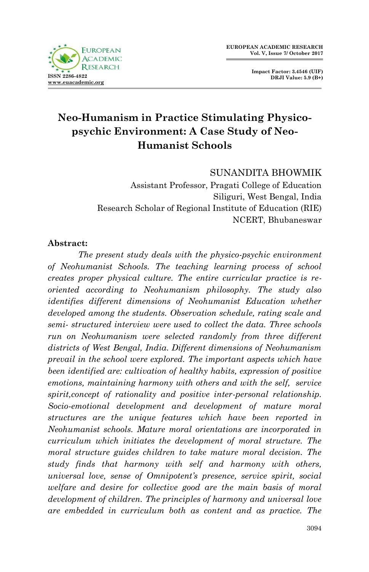

**Impact Factor: 3.4546 (UIF) DRJI Value: 5.9 (B+)**

# **Neo-Humanism in Practice Stimulating Physicopsychic Environment: A Case Study of Neo-Humanist Schools**

### SUNANDITA BHOWMIK

Assistant Professor, Pragati College of Education Siliguri, West Bengal, India Research Scholar of Regional Institute of Education (RIE) NCERT, Bhubaneswar

#### **Abstract:**

*The present study deals with the physico-psychic environment of Neohumanist Schools. The teaching learning process of school creates proper physical culture. The entire curricular practice is reoriented according to Neohumanism philosophy. The study also identifies different dimensions of Neohumanist Education whether developed among the students. Observation schedule, rating scale and semi- structured interview were used to collect the data. Three schools run on Neohumanism were selected randomly from three different districts of West Bengal, India. Different dimensions of Neohumanism prevail in the school were explored. The important aspects which have been identified are: cultivation of healthy habits, expression of positive emotions, maintaining harmony with others and with the self, service spirit,concept of rationality and positive inter-personal relationship. Socio-emotional development and development of mature moral structures are the unique features which have been reported in Neohumanist schools. Mature moral orientations are incorporated in curriculum which initiates the development of moral structure. The moral structure guides children to take mature moral decision. The study finds that harmony with self and harmony with others, universal love, sense of Omnipotent's presence, service spirit, social welfare and desire for collective good are the main basis of moral development of children. The principles of harmony and universal love are embedded in curriculum both as content and as practice. The*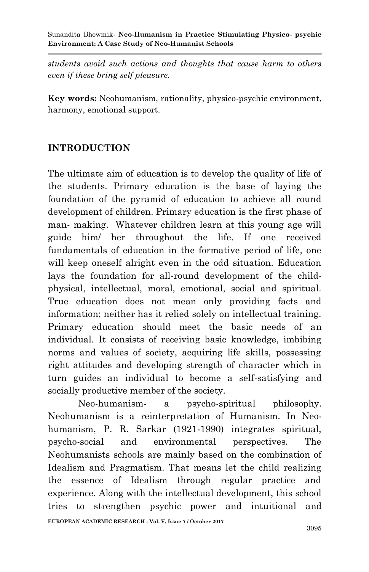*students avoid such actions and thoughts that cause harm to others even if these bring self pleasure.* 

**Key words:** Neohumanism, rationality, physico-psychic environment, harmony, emotional support.

## **INTRODUCTION**

The ultimate aim of education is to develop the quality of life of the students. Primary education is the base of laying the foundation of the pyramid of education to achieve all round development of children. Primary education is the first phase of man- making. Whatever children learn at this young age will guide him/ her throughout the life. If one received fundamentals of education in the formative period of life, one will keep oneself alright even in the odd situation. Education lays the foundation for all-round development of the childphysical, intellectual, moral, emotional, social and spiritual. True education does not mean only providing facts and information; neither has it relied solely on intellectual training. Primary education should meet the basic needs of an individual. It consists of receiving basic knowledge, imbibing norms and values of society, acquiring life skills, possessing right attitudes and developing strength of character which in turn guides an individual to become a self-satisfying and socially productive member of the society.

Neo-humanism- a psycho-spiritual philosophy. Neohumanism is a reinterpretation of Humanism. In Neohumanism, P. R. Sarkar (1921-1990) integrates spiritual, psycho-social and environmental perspectives. The Neohumanists schools are mainly based on the combination of Idealism and Pragmatism. That means let the child realizing the essence of Idealism through regular practice and experience. Along with the intellectual development, this school tries to strengthen psychic power and intuitional and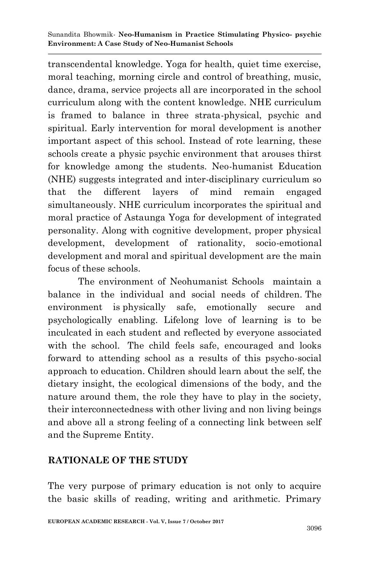transcendental knowledge. Yoga for health, quiet time exercise, moral teaching, morning circle and control of breathing, music, dance, drama, service projects all are incorporated in the school curriculum along with the content knowledge. NHE curriculum is framed to balance in three strata-physical, psychic and spiritual. Early intervention for moral development is another important aspect of this school. Instead of rote learning, these schools create a physic psychic environment that arouses thirst for knowledge among the students. Neo-humanist Education (NHE) suggests integrated and inter-disciplinary curriculum so that the different layers of mind remain engaged simultaneously. NHE curriculum incorporates the spiritual and moral practice of Astaunga Yoga for development of integrated personality. Along with cognitive development, proper physical development, development of rationality, socio-emotional development and moral and spiritual development are the main focus of these schools.

The environment of Neohumanist Schools maintain a balance in the individual and social needs of children. The environment is physically safe, emotionally secure and psychologically enabling. Lifelong love of learning is to be inculcated in each student and reflected by everyone associated with the school. The child feels safe, encouraged and looks forward to attending school as a results of this psycho-social approach to education. Children should learn about the self, the dietary insight, the ecological dimensions of the body, and the nature around them, the role they have to play in the society, their interconnectedness with other living and non living beings and above all a strong feeling of a connecting link between self and the Supreme Entity.

## **RATIONALE OF THE STUDY**

The very purpose of primary education is not only to acquire the basic skills of reading, writing and arithmetic. Primary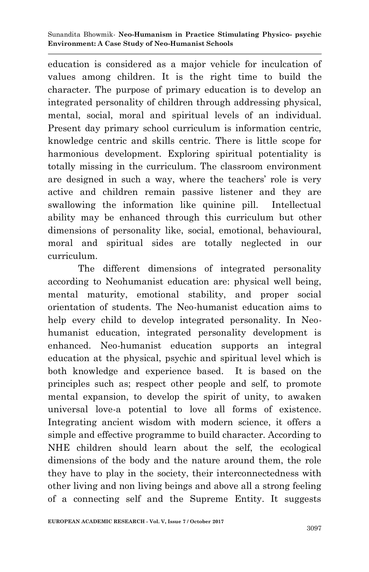education is considered as a major vehicle for inculcation of values among children. It is the right time to build the character. The purpose of primary education is to develop an integrated personality of children through addressing physical, mental, social, moral and spiritual levels of an individual. Present day primary school curriculum is information centric, knowledge centric and skills centric. There is little scope for harmonious development. Exploring spiritual potentiality is totally missing in the curriculum. The classroom environment are designed in such a way, where the teachers' role is very active and children remain passive listener and they are swallowing the information like quinine pill. Intellectual ability may be enhanced through this curriculum but other dimensions of personality like, social, emotional, behavioural, moral and spiritual sides are totally neglected in our curriculum.

The different dimensions of integrated personality according to Neohumanist education are: physical well being, mental maturity, emotional stability, and proper social orientation of students. The Neo-humanist education aims to help every child to develop integrated personality. In Neohumanist education, integrated personality development is enhanced. Neo-humanist education supports an integral education at the physical, psychic and spiritual level which is both knowledge and experience based. It is based on the principles such as; respect other people and self, to promote mental expansion, to develop the spirit of unity, to awaken universal love-a potential to love all forms of existence. Integrating ancient wisdom with modern science, it offers a simple and effective programme to build character. According to NHE children should learn about the self, the ecological dimensions of the body and the nature around them, the role they have to play in the society, their interconnectedness with other living and non living beings and above all a strong feeling of a connecting self and the Supreme Entity. It suggests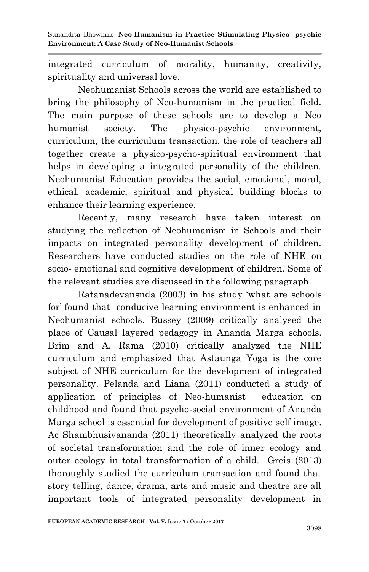integrated curriculum of morality, humanity, creativity, spirituality and universal love.

Neohumanist Schools across the world are established to bring the philosophy of Neo-humanism in the practical field. The main purpose of these schools are to develop a Neo humanist society. The physico-psychic environment, curriculum, the curriculum transaction, the role of teachers all together create a physico-psycho-spiritual environment that helps in developing a integrated personality of the children. Neohumanist Education provides the social, emotional, moral, ethical, academic, spiritual and physical building blocks to enhance their learning experience.

Recently, many research have taken interest on studying the reflection of Neohumanism in Schools and their impacts on integrated personality development of children. Researchers have conducted studies on the role of NHE on socio- emotional and cognitive development of children. Some of the relevant studies are discussed in the following paragraph.

Ratanadevansnda (2003) in his study "what are schools for" found that conducive learning environment is enhanced in Neohumanist schools. Bussey (2009) critically analysed the place of Causal layered pedagogy in Ananda Marga schools. Brim and A. Rama (2010) critically analyzed the NHE curriculum and emphasized that Astaunga Yoga is the core subject of NHE curriculum for the development of integrated personality. Pelanda and Liana (2011) conducted a study of application of principles of Neo-humanist education on childhood and found that psycho-social environment of Ananda Marga school is essential for development of positive self image. Ac Shambhusivananda (2011) theoretically analyzed the roots of societal transformation and the role of inner ecology and outer ecology in total transformation of a child. Greis (2013) thoroughly studied the curriculum transaction and found that story telling, dance, drama, arts and music and theatre are all important tools of integrated personality development in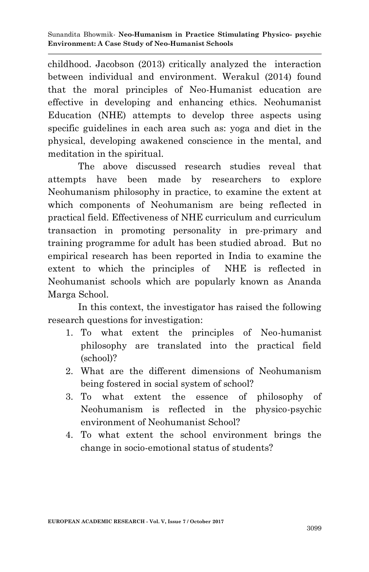childhood. Jacobson (2013) critically analyzed the interaction between individual and environment. Werakul (2014) found that the moral principles of Neo-Humanist education are effective in developing and enhancing ethics. Neohumanist Education (NHE) attempts to develop three aspects using specific guidelines in each area such as: yoga and diet in the physical, developing awakened conscience in the mental, and meditation in the spiritual.

The above discussed research studies reveal that attempts have been made by researchers to explore Neohumanism philosophy in practice, to examine the extent at which components of Neohumanism are being reflected in practical field. Effectiveness of NHE curriculum and curriculum transaction in promoting personality in pre-primary and training programme for adult has been studied abroad. But no empirical research has been reported in India to examine the extent to which the principles of NHE is reflected in Neohumanist schools which are popularly known as Ananda Marga School.

In this context, the investigator has raised the following research questions for investigation:

- 1. To what extent the principles of Neo-humanist philosophy are translated into the practical field (school)?
- 2. What are the different dimensions of Neohumanism being fostered in social system of school?
- 3. To what extent the essence of philosophy of Neohumanism is reflected in the physico-psychic environment of Neohumanist School?
- 4. To what extent the school environment brings the change in socio-emotional status of students?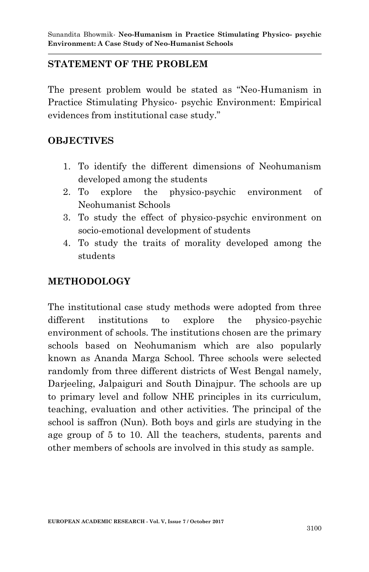### **STATEMENT OF THE PROBLEM**

The present problem would be stated as "Neo-Humanism in Practice Stimulating Physico- psychic Environment: Empirical evidences from institutional case study."

### **OBJECTIVES**

- 1. To identify the different dimensions of Neohumanism developed among the students
- 2. To explore the physico-psychic environment of Neohumanist Schools
- 3. To study the effect of physico-psychic environment on socio-emotional development of students
- 4. To study the traits of morality developed among the students

## **METHODOLOGY**

The institutional case study methods were adopted from three different institutions to explore the physico-psychic environment of schools. The institutions chosen are the primary schools based on Neohumanism which are also popularly known as Ananda Marga School. Three schools were selected randomly from three different districts of West Bengal namely, Darjeeling, Jalpaiguri and South Dinajpur. The schools are up to primary level and follow NHE principles in its curriculum, teaching, evaluation and other activities. The principal of the school is saffron (Nun). Both boys and girls are studying in the age group of 5 to 10. All the teachers, students, parents and other members of schools are involved in this study as sample.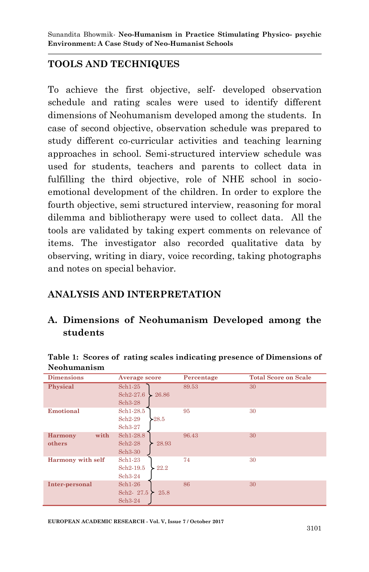### **TOOLS AND TECHNIQUES**

To achieve the first objective, self- developed observation schedule and rating scales were used to identify different dimensions of Neohumanism developed among the students. In case of second objective, observation schedule was prepared to study different co-curricular activities and teaching learning approaches in school. Semi-structured interview schedule was used for students, teachers and parents to collect data in fulfilling the third objective, role of NHE school in socioemotional development of the children. In order to explore the fourth objective, semi structured interview, reasoning for moral dilemma and bibliotherapy were used to collect data. All the tools are validated by taking expert comments on relevance of items. The investigator also recorded qualitative data by observing, writing in diary, voice recording, taking photographs and notes on special behavior.

### **ANALYSIS AND INTERPRETATION**

### **A. Dimensions of Neohumanism Developed among the students**

| <b>Dimensions</b>      | Average score      | Percentage | <b>Total Score on Scale</b> |
|------------------------|--------------------|------------|-----------------------------|
| Physical               | $Sch1-25$          | 89.53      | 30                          |
|                        | Sch2-27.6<br>26.86 |            |                             |
|                        | Sch3-28            |            |                             |
| Emotional              | Sch1-28.5          | 95         | 30                          |
|                        | Sch2-29<br>$-28.5$ |            |                             |
|                        | Sch3-27            |            |                             |
| with<br><b>Harmony</b> | Sch1-28.8          | 96.43      | 30                          |
| others                 | Sch2-28<br>28.93   |            |                             |
|                        | Sch3-30            |            |                             |
| Harmony with self      | Sch1-23            | 74         | 30                          |
|                        | Sch2-19.5<br>22.2  |            |                             |
|                        | Sch3-24            |            |                             |
| Inter-personal         | $Sch1-26$          | 86         | 30                          |
|                        | Sch2-27.5<br>25.8  |            |                             |
|                        | Sch3-24            |            |                             |

#### **Table 1: Scores of rating scales indicating presence of Dimensions of Neohumanism**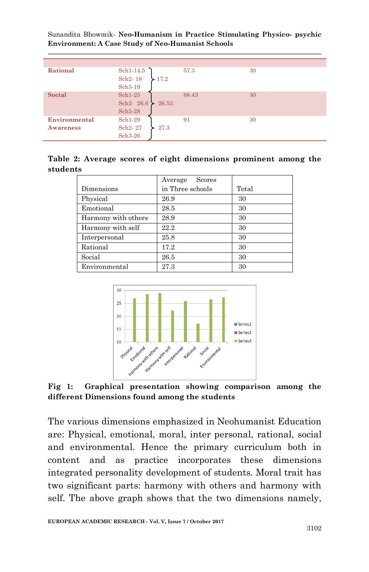| Rational      | Sch1-14.5          | 57.3  | 30 |
|---------------|--------------------|-------|----|
|               | Sch2-18<br>17.2    |       |    |
|               | Sch3-19            |       |    |
| Social        | $Sch1-25$          | 88.43 | 30 |
|               | Sch2-26.6<br>26.53 |       |    |
|               | Sch3-28            |       |    |
| Environmental | $Sch1-29$          | 91    | 30 |
| Awareness     | Sch2-27<br>27.3    |       |    |
|               | Sch3-26            |       |    |

|          |  |  | Table 2: Average scores of eight dimensions prominent among the |  |  |
|----------|--|--|-----------------------------------------------------------------|--|--|
| students |  |  |                                                                 |  |  |

|                     | Scores<br>Average |       |
|---------------------|-------------------|-------|
| Dimensions          | in Three schools  | Total |
| Physical            | 26.9              | 30    |
| Emotional           | 28.5              | 30    |
| Harmony with others | 28.9              | 30    |
| Harmony with self   | 22.2              | 30    |
| Interpersonal       | 25.8              | 30    |
| Rational            | 17.2              | 30    |
| Social              | 26.5              | 30    |
| Environmental       | 27.3              | 30    |



**Fig 1: Graphical presentation showing comparison among the different Dimensions found among the students**

The various dimensions emphasized in Neohumanist Education are: Physical, emotional, moral, inter personal, rational, social and environmental. Hence the primary curriculum both in content and as practice incorporates these dimensions integrated personality development of students. Moral trait has two significant parts: harmony with others and harmony with self. The above graph shows that the two dimensions namely,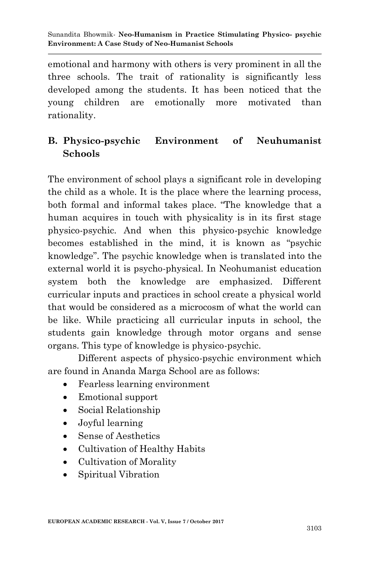emotional and harmony with others is very prominent in all the three schools. The trait of rationality is significantly less developed among the students. It has been noticed that the young children are emotionally more motivated than rationality.

## **B. Physico-psychic Environment of Neuhumanist Schools**

The environment of school plays a significant role in developing the child as a whole. It is the place where the learning process, both formal and informal takes place. "The knowledge that a human acquires in touch with physicality is in its first stage physico-psychic. And when this physico-psychic knowledge becomes established in the mind, it is known as "psychic knowledge". The psychic knowledge when is translated into the external world it is psycho-physical. In Neohumanist education system both the knowledge are emphasized. Different curricular inputs and practices in school create a physical world that would be considered as a microcosm of what the world can be like. While practicing all curricular inputs in school, the students gain knowledge through motor organs and sense organs. This type of knowledge is physico-psychic.

Different aspects of physico-psychic environment which are found in Ananda Marga School are as follows:

- Fearless learning environment
- Emotional support
- Social Relationship
- Joyful learning
- Sense of Aesthetics
- Cultivation of Healthy Habits
- Cultivation of Morality
- Spiritual Vibration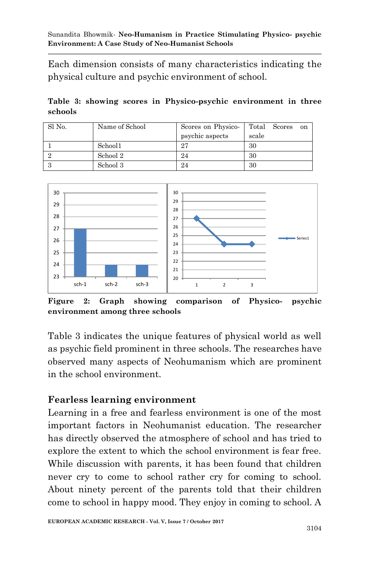Each dimension consists of many characteristics indicating the physical culture and psychic environment of school.

**Table 3: showing scores in Physico-psychic environment in three schools**

| Sl No. | Name of School | Scores on Physico- |       | Total Scores | on |
|--------|----------------|--------------------|-------|--------------|----|
|        |                | psychic aspects    | scale |              |    |
|        | School1        | 97                 | 30    |              |    |
|        | School 2       | 24                 | 30    |              |    |
|        | School 3       | 24                 | 30    |              |    |



**Figure 2: Graph showing comparison of Physico- psychic environment among three schools**

Table 3 indicates the unique features of physical world as well as psychic field prominent in three schools. The researches have observed many aspects of Neohumanism which are prominent in the school environment.

### **Fearless learning environment**

Learning in a free and fearless environment is one of the most important factors in Neohumanist education. The researcher has directly observed the atmosphere of school and has tried to explore the extent to which the school environment is fear free. While discussion with parents, it has been found that children never cry to come to school rather cry for coming to school. About ninety percent of the parents told that their children come to school in happy mood. They enjoy in coming to school. A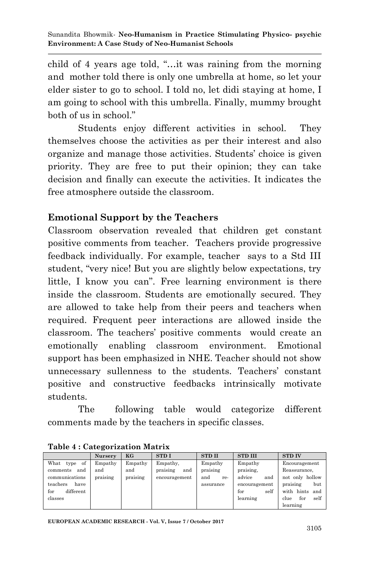child of 4 years age told, "…it was raining from the morning and mother told there is only one umbrella at home, so let your elder sister to go to school. I told no, let didi staying at home, I am going to school with this umbrella. Finally, mummy brought both of us in school."

Students enjoy different activities in school. They themselves choose the activities as per their interest and also organize and manage those activities. Students" choice is given priority. They are free to put their opinion; they can take decision and finally can execute the activities. It indicates the free atmosphere outside the classroom.

### **Emotional Support by the Teachers**

Classroom observation revealed that children get constant positive comments from teacher. Teachers provide progressive feedback individually. For example, teacher says to a Std III student, "very nice! But you are slightly below expectations, try little, I know you can". Free learning environment is there inside the classroom. Students are emotionally secured. They are allowed to take help from their peers and teachers when required. Frequent peer interactions are allowed inside the classroom. The teachers" positive comments would create an emotionally enabling classroom environment. Emotional support has been emphasized in NHE. Teacher should not show unnecessary sullenness to the students. Teachers' constant positive and constructive feedbacks intrinsically motivate students.

The following table would categorize different comments made by the teachers in specific classes.

|                    | <b>Nursery</b> | KG       | <b>STDI</b>     | <b>STD II</b> | <b>STD III</b> | <b>STD IV</b>       |
|--------------------|----------------|----------|-----------------|---------------|----------------|---------------------|
| What<br>of<br>type | Empathy        | Empathy  | Empathy,        | Empathy       | Empathy        | Encouragement       |
| and<br>comments    | and            | and      | praising<br>and | praising      | praising.      | Reassurance,        |
| communications     | praising       | praising | encouragement   | and<br>re-    | advice<br>and  | not only hollow     |
| teachers<br>have   |                |          |                 | assurance     | encouragement  | praising<br>but     |
| different<br>for   |                |          |                 |               | self<br>for    | with hints<br>and   |
| classes            |                |          |                 |               | learning       | self<br>for<br>clue |
|                    |                |          |                 |               |                | learning            |

#### **Table 4 : Categorization Matrix**

**EUROPEAN ACADEMIC RESEARCH - Vol. V, Issue 7 / October 2017**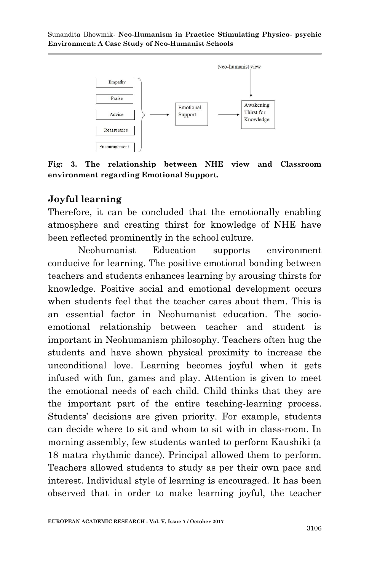

**Fig: 3. The relationship between NHE view and Classroom environment regarding Emotional Support.** 

### **Joyful learning**

Therefore, it can be concluded that the emotionally enabling atmosphere and creating thirst for knowledge of NHE have been reflected prominently in the school culture.

Neohumanist Education supports environment conducive for learning. The positive emotional bonding between teachers and students enhances learning by arousing thirsts for knowledge. Positive social and emotional development occurs when students feel that the teacher cares about them. This is an essential factor in Neohumanist education. The socioemotional relationship between teacher and student is important in Neohumanism philosophy. Teachers often hug the students and have shown physical proximity to increase the unconditional love. Learning becomes joyful when it gets infused with fun, games and play. Attention is given to meet the emotional needs of each child. Child thinks that they are the important part of the entire teaching-learning process. Students" decisions are given priority. For example, students can decide where to sit and whom to sit with in class-room. In morning assembly, few students wanted to perform Kaushiki (a 18 matra rhythmic dance). Principal allowed them to perform. Teachers allowed students to study as per their own pace and interest. Individual style of learning is encouraged. It has been observed that in order to make learning joyful, the teacher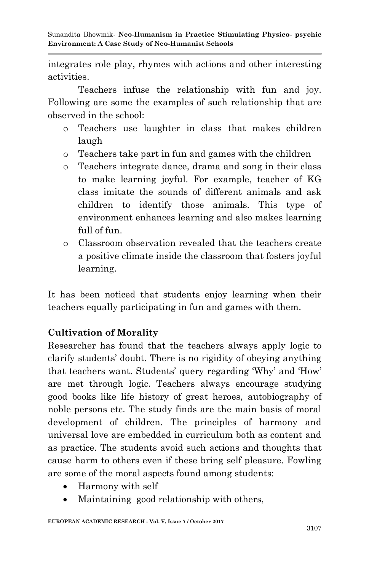integrates role play, rhymes with actions and other interesting activities.

Teachers infuse the relationship with fun and joy. Following are some the examples of such relationship that are observed in the school:

- o Teachers use laughter in class that makes children laugh
- o Teachers take part in fun and games with the children
- o Teachers integrate dance, drama and song in their class to make learning joyful. For example, teacher of KG class imitate the sounds of different animals and ask children to identify those animals. This type of environment enhances learning and also makes learning full of fun.
- o Classroom observation revealed that the teachers create a positive climate inside the classroom that fosters joyful learning.

It has been noticed that students enjoy learning when their teachers equally participating in fun and games with them.

## **Cultivation of Morality**

Researcher has found that the teachers always apply logic to clarify students" doubt. There is no rigidity of obeying anything that teachers want. Students' query regarding 'Why' and 'How' are met through logic. Teachers always encourage studying good books like life history of great heroes, autobiography of noble persons etc. The study finds are the main basis of moral development of children. The principles of harmony and universal love are embedded in curriculum both as content and as practice. The students avoid such actions and thoughts that cause harm to others even if these bring self pleasure. Fowling are some of the moral aspects found among students:

- Harmony with self
- Maintaining good relationship with others,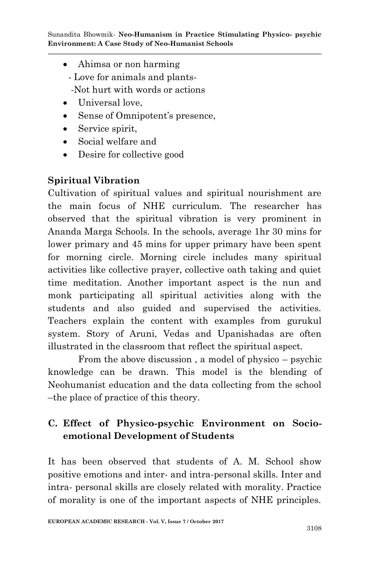- Ahimsa or non harming
	- Love for animals and plants-
	- -Not hurt with words or actions
- Universal love.
- Sense of Omnipotent's presence,
- Service spirit,
- Social welfare and
- Desire for collective good

## **Spiritual Vibration**

Cultivation of spiritual values and spiritual nourishment are the main focus of NHE curriculum. The researcher has observed that the spiritual vibration is very prominent in Ananda Marga Schools. In the schools, average 1hr 30 mins for lower primary and 45 mins for upper primary have been spent for morning circle. Morning circle includes many spiritual activities like collective prayer, collective oath taking and quiet time meditation. Another important aspect is the nun and monk participating all spiritual activities along with the students and also guided and supervised the activities. Teachers explain the content with examples from gurukul system. Story of Aruni, Vedas and Upanishadas are often illustrated in the classroom that reflect the spiritual aspect.

From the above discussion , a model of physico – psychic knowledge can be drawn. This model is the blending of Neohumanist education and the data collecting from the school –the place of practice of this theory.

# **C. Effect of Physico-psychic Environment on Socioemotional Development of Students**

It has been observed that students of A. M. School show positive emotions and inter- and intra-personal skills. Inter and intra- personal skills are closely related with morality. Practice of morality is one of the important aspects of NHE principles.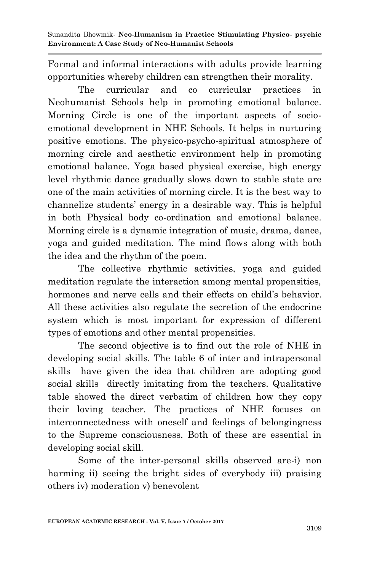Formal and informal interactions with adults provide learning opportunities whereby children can strengthen their morality.

The curricular and co curricular practices in Neohumanist Schools help in promoting emotional balance. Morning Circle is one of the important aspects of socioemotional development in NHE Schools. It helps in nurturing positive emotions. The physico-psycho-spiritual atmosphere of morning circle and aesthetic environment help in promoting emotional balance. Yoga based physical exercise, high energy level rhythmic dance gradually slows down to stable state are one of the main activities of morning circle. It is the best way to channelize students" energy in a desirable way. This is helpful in both Physical body co-ordination and emotional balance. Morning circle is a dynamic integration of music, drama, dance, yoga and guided meditation. The mind flows along with both the idea and the rhythm of the poem.

The collective rhythmic activities, yoga and guided meditation regulate the interaction among mental propensities, hormones and nerve cells and their effects on child's behavior. All these activities also regulate the secretion of the endocrine system which is most important for expression of different types of emotions and other mental propensities.

The second objective is to find out the role of NHE in developing social skills. The table 6 of inter and intrapersonal skills have given the idea that children are adopting good social skills directly imitating from the teachers. Qualitative table showed the direct verbatim of children how they copy their loving teacher. The practices of NHE focuses on interconnectedness with oneself and feelings of belongingness to the Supreme consciousness. Both of these are essential in developing social skill.

Some of the inter-personal skills observed are-i) non harming ii) seeing the bright sides of everybody iii) praising others iv) moderation v) benevolent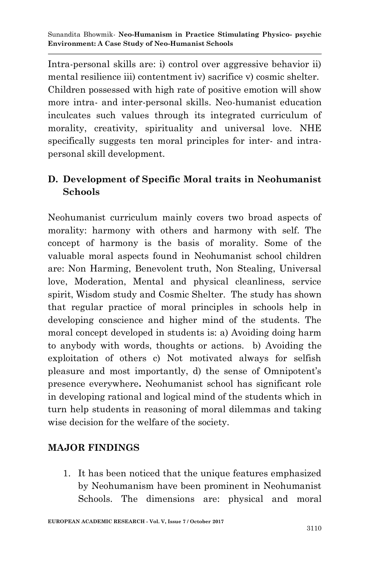Intra-personal skills are: i) control over aggressive behavior ii) mental resilience iii) contentment iv) sacrifice v) cosmic shelter. Children possessed with high rate of positive emotion will show more intra- and inter-personal skills. Neo-humanist education inculcates such values through its integrated curriculum of morality, creativity, spirituality and universal love. NHE specifically suggests ten moral principles for inter- and intrapersonal skill development.

## **D. Development of Specific Moral traits in Neohumanist Schools**

Neohumanist curriculum mainly covers two broad aspects of morality: harmony with others and harmony with self. The concept of harmony is the basis of morality. Some of the valuable moral aspects found in Neohumanist school children are: Non Harming, Benevolent truth, Non Stealing, Universal love, Moderation, Mental and physical cleanliness, service spirit, Wisdom study and Cosmic Shelter. The study has shown that regular practice of moral principles in schools help in developing conscience and higher mind of the students. The moral concept developed in students is: a) Avoiding doing harm to anybody with words, thoughts or actions. b) Avoiding the exploitation of others c) Not motivated always for selfish pleasure and most importantly, d) the sense of Omnipotent's presence everywhere**.** Neohumanist school has significant role in developing rational and logical mind of the students which in turn help students in reasoning of moral dilemmas and taking wise decision for the welfare of the society.

## **MAJOR FINDINGS**

1. It has been noticed that the unique features emphasized by Neohumanism have been prominent in Neohumanist Schools. The dimensions are: physical and moral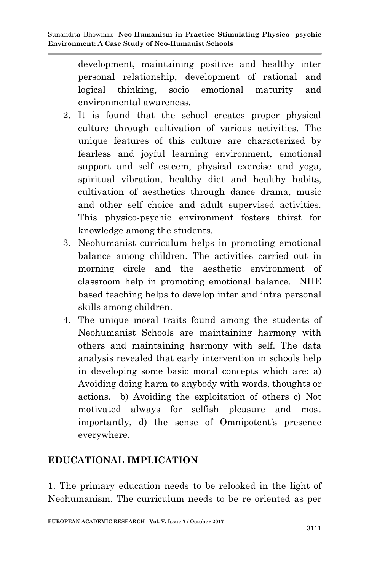development, maintaining positive and healthy inter personal relationship, development of rational and logical thinking, socio emotional maturity and environmental awareness.

- 2. It is found that the school creates proper physical culture through cultivation of various activities. The unique features of this culture are characterized by fearless and joyful learning environment, emotional support and self esteem, physical exercise and yoga, spiritual vibration, healthy diet and healthy habits, cultivation of aesthetics through dance drama, music and other self choice and adult supervised activities. This physico-psychic environment fosters thirst for knowledge among the students.
- 3. Neohumanist curriculum helps in promoting emotional balance among children. The activities carried out in morning circle and the aesthetic environment of classroom help in promoting emotional balance. NHE based teaching helps to develop inter and intra personal skills among children.
- 4. The unique moral traits found among the students of Neohumanist Schools are maintaining harmony with others and maintaining harmony with self. The data analysis revealed that early intervention in schools help in developing some basic moral concepts which are: a) Avoiding doing harm to anybody with words, thoughts or actions. b) Avoiding the exploitation of others c) Not motivated always for selfish pleasure and most importantly, d) the sense of Omnipotent's presence everywhere.

## **EDUCATIONAL IMPLICATION**

1. The primary education needs to be relooked in the light of Neohumanism. The curriculum needs to be re oriented as per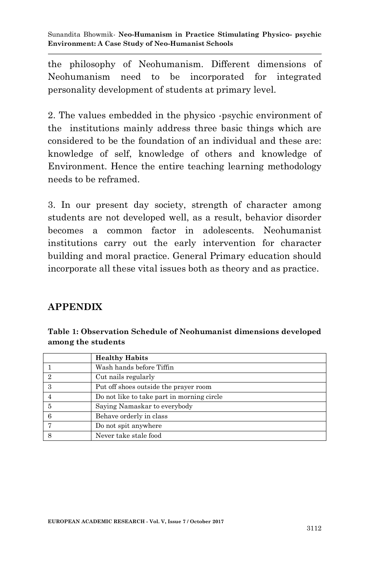the philosophy of Neohumanism. Different dimensions of Neohumanism need to be incorporated for integrated personality development of students at primary level.

2. The values embedded in the physico -psychic environment of the institutions mainly address three basic things which are considered to be the foundation of an individual and these are: knowledge of self, knowledge of others and knowledge of Environment. Hence the entire teaching learning methodology needs to be reframed.

3. In our present day society, strength of character among students are not developed well, as a result, behavior disorder becomes a common factor in adolescents. Neohumanist institutions carry out the early intervention for character building and moral practice. General Primary education should incorporate all these vital issues both as theory and as practice.

### **APPENDIX**

| Table 1: Observation Schedule of Neohumanist dimensions developed |
|-------------------------------------------------------------------|
| among the students                                                |

|   | <b>Healthy Habits</b>                      |
|---|--------------------------------------------|
|   | Wash hands before Tiffin                   |
|   | Cut nails regularly                        |
| 3 | Put off shoes outside the prayer room      |
|   | Do not like to take part in morning circle |
|   | Saying Namaskar to everybody               |
|   | Behave orderly in class                    |
|   | Do not spit anywhere                       |
|   | Never take stale food                      |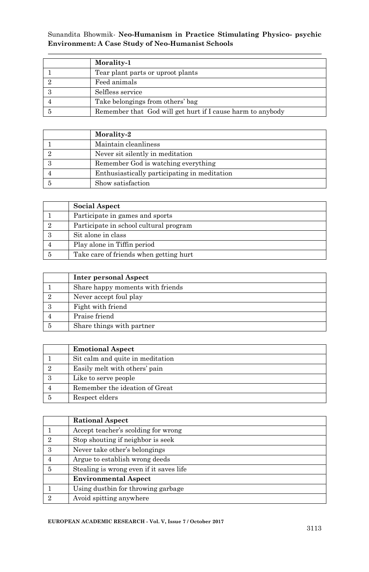| Morality-1                                                 |
|------------------------------------------------------------|
| Tear plant parts or uproot plants                          |
| Feed animals                                               |
| Selfless service                                           |
| Take belongings from others' bag                           |
| Remember that God will get hurt if I cause harm to anybody |

| Morality-2                                   |
|----------------------------------------------|
| Maintain cleanliness                         |
| Never sit silently in meditation             |
| Remember God is watching everything          |
| Enthusiastically participating in meditation |
| Show satisfaction                            |

| <b>Social Aspect</b>                   |
|----------------------------------------|
| Participate in games and sports        |
| Participate in school cultural program |
| Sit alone in class                     |
| Play alone in Tiffin period            |
| Take care of friends when getting hurt |

| Inter personal Aspect            |
|----------------------------------|
| Share happy moments with friends |
| Never accept foul play           |
| Fight with friend                |
| Praise friend                    |
| Share things with partner        |

| <b>Emotional Aspect</b>          |  |  |
|----------------------------------|--|--|
| Sit calm and quite in meditation |  |  |
| Easily melt with others' pain    |  |  |
| Like to serve people             |  |  |
| Remember the ideation of Great   |  |  |
| Respect elders                   |  |  |

|                             | <b>Rational Aspect</b>                  |  |  |
|-----------------------------|-----------------------------------------|--|--|
|                             | Accept teacher's scolding for wrong     |  |  |
| $\mathcal{D}_{\mathcal{L}}$ | Stop shouting if neighbor is seek       |  |  |
| 3                           | Never take other's belongings           |  |  |
|                             | Argue to establish wrong deeds          |  |  |
| 5                           | Stealing is wrong even if it saves life |  |  |
|                             | <b>Environmental Aspect</b>             |  |  |
|                             | Using dustbin for throwing garbage      |  |  |
| 9                           | Avoid spitting anywhere                 |  |  |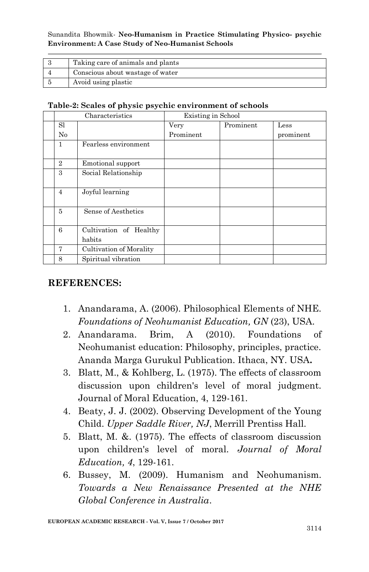| Taking care of animals and plants |
|-----------------------------------|
| Conscious about wastage of water  |
| Avoid using plastic               |

#### **Table-2: Scales of physic psychic environment of schools**

| Characteristics |                                  | Existing in School |           |           |
|-----------------|----------------------------------|--------------------|-----------|-----------|
| S1              |                                  | Very               | Prominent | Less      |
| No              |                                  | Prominent          |           | prominent |
| 1               | Fearless environment             |                    |           |           |
| $\overline{2}$  | Emotional support                |                    |           |           |
| 3               | Social Relationship              |                    |           |           |
| $\overline{4}$  | Joyful learning                  |                    |           |           |
| 5               | Sense of Aesthetics              |                    |           |           |
| 6               | Cultivation of Healthy<br>habits |                    |           |           |
| 7               | Cultivation of Morality          |                    |           |           |
| 8               | Spiritual vibration              |                    |           |           |

#### **REFERENCES:**

- 1. Anandarama, A. (2006). Philosophical Elements of NHE. *Foundations of Neohumanist Education, GN* (23), USA.
- 2. Anandarama. Brim, A (2010). Foundations of Neohumanist education: Philosophy, principles, practice. Ananda Marga Gurukul Publication. Ithaca, NY. USA**.**
- 3. Blatt, M., & Kohlberg, L. (1975). The effects of classroom discussion upon children's level of moral judgment. Journal of Moral Education, 4, 129-161.
- 4. Beaty, J. J. (2002). Observing Development of the Young Child. *Upper Saddle River, NJ*, Merrill Prentiss Hall.
- 5. Blatt, M. &. (1975). The effects of classroom discussion upon children's level of moral. *Journal of Moral Education, 4*, 129-161.
- 6. Bussey, M. (2009). Humanism and Neohumanism. *Towards a New Renaissance Presented at the NHE Global Conference in Australia*.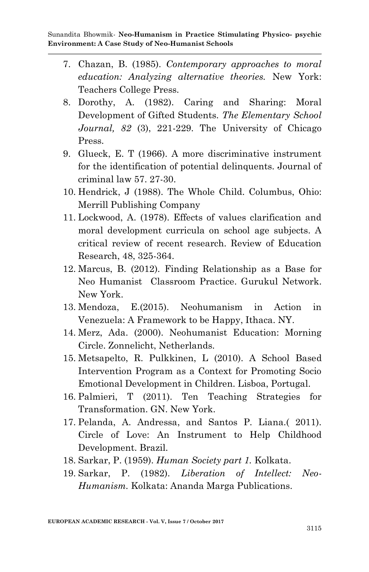- 7. Chazan, B. (1985). *Contemporary approaches to moral education: Analyzing alternative theories.* New York: Teachers College Press.
- 8. Dorothy, A. (1982). Caring and Sharing: Moral Development of Gifted Students. *The Elementary School Journal, 82* (3), 221-229. The University of Chicago Press.
- 9. Glueck, E. T (1966). A more discriminative instrument for the identification of potential delinquents. Journal of criminal law 57. 27-30.
- 10. Hendrick, J (1988). The Whole Child. Columbus, Ohio: Merrill Publishing Company
- 11. Lockwood, A. (1978). Effects of values clarification and moral development curricula on school age subjects. A critical review of recent research. Review of Education Research, 48, 325-364.
- 12. Marcus, B. (2012). Finding Relationship as a Base for Neo Humanist Classroom Practice. Gurukul Network. New York.
- 13. Mendoza, E.(2015). Neohumanism in Action in Venezuela: A Framework to be Happy, Ithaca. NY.
- 14. Merz, Ada. (2000). Neohumanist Education: Morning Circle. Zonnelicht, Netherlands.
- 15. Metsapelto, R. Pulkkinen, L (2010). A School Based Intervention Program as a Context for Promoting Socio Emotional Development in Children. Lisboa, Portugal.
- 16. Palmieri, T (2011). Ten Teaching Strategies for Transformation. GN. New York.
- 17. Pelanda, A. Andressa, and Santos P. Liana.( 2011). Circle of Love: An Instrument to Help Childhood Development. Brazil.
- 18. Sarkar, P. (1959). *Human Society part 1.* Kolkata.
- 19. Sarkar, P. (1982). *Liberation of Intellect: Neo-Humanism.* Kolkata: Ananda Marga Publications.